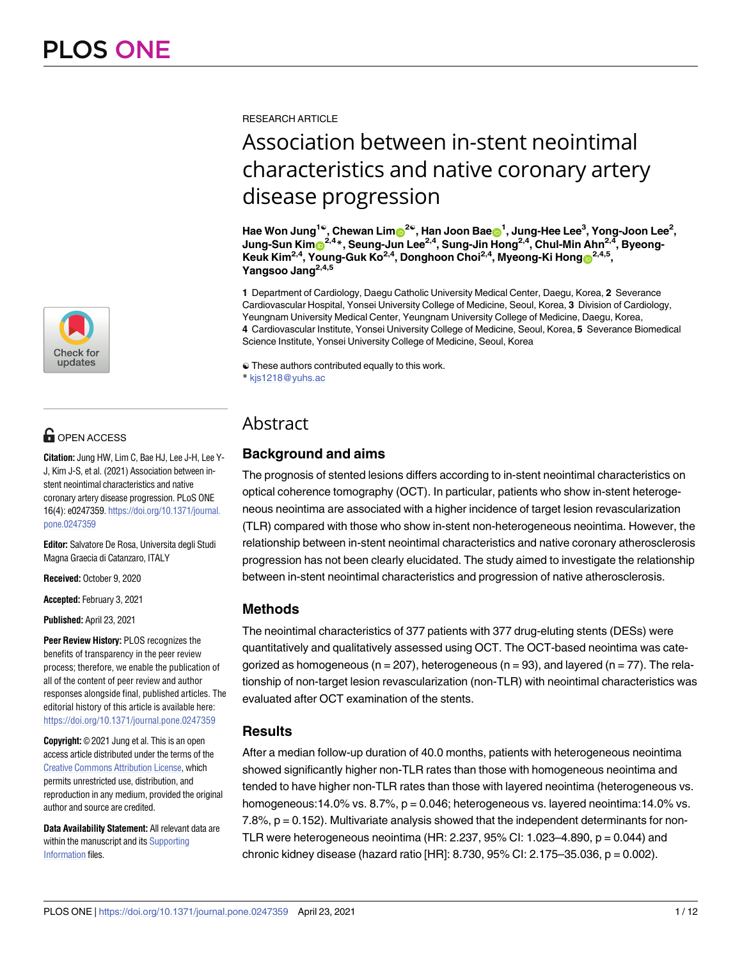

# $\blacksquare$  OPEN ACCESS

**Citation:** Jung HW, Lim C, Bae HJ, Lee J-H, Lee Y-J, Kim J-S, et al. (2021) Association between instent neointimal characteristics and native coronary artery disease progression. PLoS ONE 16(4): e0247359. [https://doi.org/10.1371/journal.](https://doi.org/10.1371/journal.pone.0247359) [pone.0247359](https://doi.org/10.1371/journal.pone.0247359)

**Editor:** Salvatore De Rosa, Universita degli Studi Magna Graecia di Catanzaro, ITALY

**Received:** October 9, 2020

**Accepted:** February 3, 2021

**Published:** April 23, 2021

**Peer Review History:** PLOS recognizes the benefits of transparency in the peer review process; therefore, we enable the publication of all of the content of peer review and author responses alongside final, published articles. The editorial history of this article is available here: <https://doi.org/10.1371/journal.pone.0247359>

**Copyright:** © 2021 Jung et al. This is an open access article distributed under the terms of the Creative Commons [Attribution](http://creativecommons.org/licenses/by/4.0/) License, which permits unrestricted use, distribution, and reproduction in any medium, provided the original author and source are credited.

**Data Availability Statement:** All relevant data are within the manuscript and its [Supporting](#page-9-0) [Information](#page-9-0) files.

RESEARCH ARTICLE

# Association between in-stent neointimal characteristics and native coronary artery disease progression

Hae Won Jung<sup>1e</sup>, Chewan Lim®<sup>2e</sup>, Han Joon Bae<mark>®</mark><sup>1</sup>, Jung-Hee Lee<sup>3</sup>, Yong-Joon Lee<sup>2</sup>, **Jung-Sun Ki[mID](https://orcid.org/0000-0003-2263-3274)2,4\*, Seung-Jun Lee2,4, Sung-Jin Hong2,4, Chul-Min Ahn2,4, Byeong-Keuk Kim<sup>2,4</sup>, Young-Guk Ko<sup>2,4</sup>, Donghoon Choi<sup>2,4</sup>, Myeong-Ki Hong®<sup>2,4,5</sup>, Yangsoo Jang2,4,5**

**1** Department of Cardiology, Daegu Catholic University Medical Center, Daegu, Korea, **2** Severance Cardiovascular Hospital, Yonsei University College of Medicine, Seoul, Korea, **3** Division of Cardiology, Yeungnam University Medical Center, Yeungnam University College of Medicine, Daegu, Korea, **4** Cardiovascular Institute, Yonsei University College of Medicine, Seoul, Korea, **5** Severance Biomedical Science Institute, Yonsei University College of Medicine, Seoul, Korea

☯ These authors contributed equally to this work.

\* kjs1218@yuhs.ac

# Abstract

# **Background and aims**

The prognosis of stented lesions differs according to in-stent neointimal characteristics on optical coherence tomography (OCT). In particular, patients who show in-stent heterogeneous neointima are associated with a higher incidence of target lesion revascularization (TLR) compared with those who show in-stent non-heterogeneous neointima. However, the relationship between in-stent neointimal characteristics and native coronary atherosclerosis progression has not been clearly elucidated. The study aimed to investigate the relationship between in-stent neointimal characteristics and progression of native atherosclerosis.

# **Methods**

The neointimal characteristics of 377 patients with 377 drug-eluting stents (DESs) were quantitatively and qualitatively assessed using OCT. The OCT-based neointima was categorized as homogeneous ( $n = 207$ ), heterogeneous ( $n = 93$ ), and layered ( $n = 77$ ). The relationship of non-target lesion revascularization (non-TLR) with neointimal characteristics was evaluated after OCT examination of the stents.

# **Results**

After a median follow-up duration of 40.0 months, patients with heterogeneous neointima showed significantly higher non-TLR rates than those with homogeneous neointima and tended to have higher non-TLR rates than those with layered neointima (heterogeneous vs. homogeneous:14.0% vs. 8.7%, p = 0.046; heterogeneous vs. layered neointima:14.0% vs. 7.8%, p = 0.152). Multivariate analysis showed that the independent determinants for non-TLR were heterogeneous neointima (HR: 2.237, 95% CI: 1.023–4.890, p = 0.044) and chronic kidney disease (hazard ratio [HR]:  $8.730, 95\%$  CI:  $2.175-35.036$ ,  $p = 0.002$ ).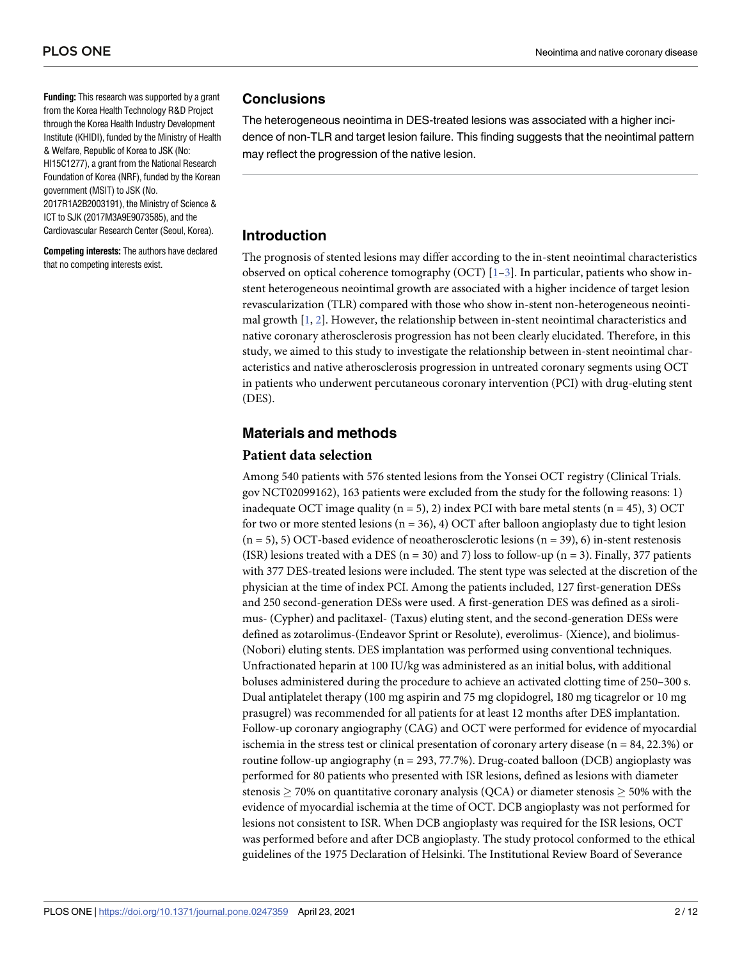<span id="page-1-0"></span>**Funding:** This research was supported by a grant from the Korea Health Technology R&D Project through the Korea Health Industry Development Institute (KHIDI), funded by the Ministry of Health & Welfare, Republic of Korea to JSK (No: HI15C1277), a grant from the National Research Foundation of Korea (NRF), funded by the Korean government (MSIT) to JSK (No. 2017R1A2B2003191), the Ministry of Science & ICT to SJK (2017M3A9E9073585), and the Cardiovascular Research Center (Seoul, Korea).

**Competing interests:** The authors have declared that no competing interests exist.

#### **Conclusions**

The heterogeneous neointima in DES-treated lesions was associated with a higher incidence of non-TLR and target lesion failure. This finding suggests that the neointimal pattern may reflect the progression of the native lesion.

# **Introduction**

The prognosis of stented lesions may differ according to the in-stent neointimal characteristics observed on optical coherence tomography (OCT)  $[1-3]$  $[1-3]$  $[1-3]$  $[1-3]$  $[1-3]$ . In particular, patients who show instent heterogeneous neointimal growth are associated with a higher incidence of target lesion revascularization (TLR) compared with those who show in-stent non-heterogeneous neointimal growth [\[1](#page-10-0), [2](#page-10-0)]. However, the relationship between in-stent neointimal characteristics and native coronary atherosclerosis progression has not been clearly elucidated. Therefore, in this study, we aimed to this study to investigate the relationship between in-stent neointimal characteristics and native atherosclerosis progression in untreated coronary segments using OCT in patients who underwent percutaneous coronary intervention (PCI) with drug-eluting stent (DES).

# **Materials and methods**

#### **Patient data selection**

Among 540 patients with 576 stented lesions from the Yonsei OCT registry (Clinical Trials. gov NCT02099162), 163 patients were excluded from the study for the following reasons: 1) inadequate OCT image quality  $(n = 5)$ , 2) index PCI with bare metal stents  $(n = 45)$ , 3) OCT for two or more stented lesions ( $n = 36$ ), 4) OCT after balloon angioplasty due to tight lesion  $(n = 5)$ , 5) OCT-based evidence of neoatherosclerotic lesions  $(n = 39)$ , 6) in-stent restenosis (ISR) lesions treated with a DES ( $n = 30$ ) and 7) loss to follow-up ( $n = 3$ ). Finally, 377 patients with 377 DES-treated lesions were included. The stent type was selected at the discretion of the physician at the time of index PCI. Among the patients included, 127 first-generation DESs and 250 second-generation DESs were used. A first-generation DES was defined as a sirolimus- (Cypher) and paclitaxel- (Taxus) eluting stent, and the second-generation DESs were defined as zotarolimus-(Endeavor Sprint or Resolute), everolimus- (Xience), and biolimus- (Nobori) eluting stents. DES implantation was performed using conventional techniques. Unfractionated heparin at 100 IU/kg was administered as an initial bolus, with additional boluses administered during the procedure to achieve an activated clotting time of 250–300 s. Dual antiplatelet therapy (100 mg aspirin and 75 mg clopidogrel, 180 mg ticagrelor or 10 mg prasugrel) was recommended for all patients for at least 12 months after DES implantation. Follow-up coronary angiography (CAG) and OCT were performed for evidence of myocardial ischemia in the stress test or clinical presentation of coronary artery disease ( $n = 84, 22.3\%$ ) or routine follow-up angiography ( $n = 293, 77.7\%$ ). Drug-coated balloon (DCB) angioplasty was performed for 80 patients who presented with ISR lesions, defined as lesions with diameter stenosis  $\geq$  70% on quantitative coronary analysis (QCA) or diameter stenosis  $\geq$  50% with the evidence of myocardial ischemia at the time of OCT. DCB angioplasty was not performed for lesions not consistent to ISR. When DCB angioplasty was required for the ISR lesions, OCT was performed before and after DCB angioplasty. The study protocol conformed to the ethical guidelines of the 1975 Declaration of Helsinki. The Institutional Review Board of Severance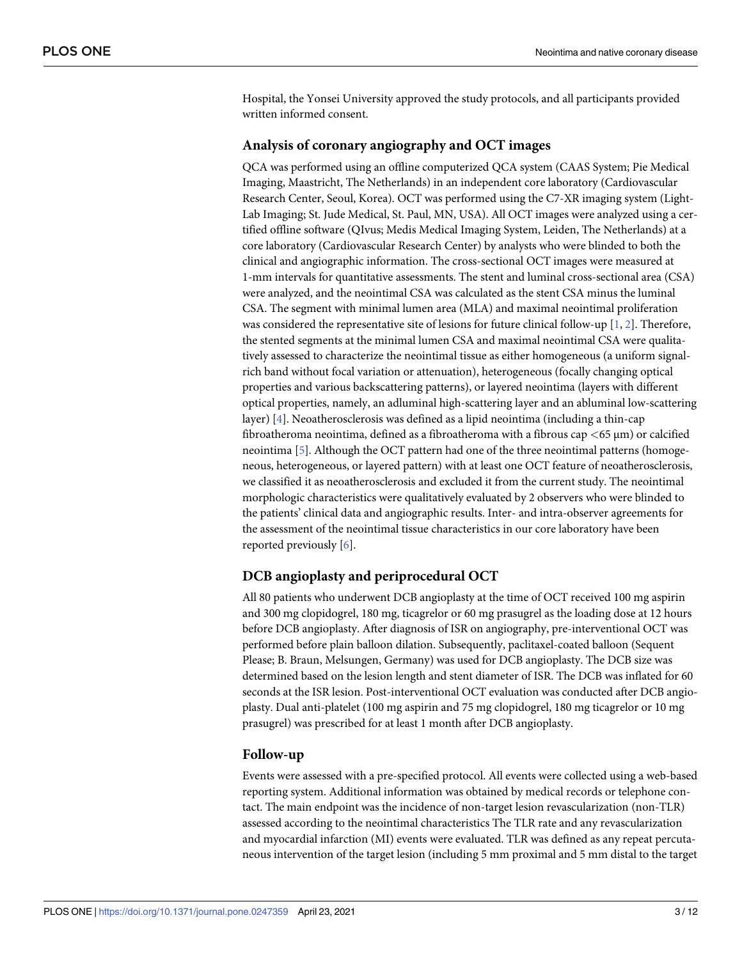<span id="page-2-0"></span>Hospital, the Yonsei University approved the study protocols, and all participants provided written informed consent.

#### **Analysis of coronary angiography and OCT images**

QCA was performed using an offline computerized QCA system (CAAS System; Pie Medical Imaging, Maastricht, The Netherlands) in an independent core laboratory (Cardiovascular Research Center, Seoul, Korea). OCT was performed using the C7-XR imaging system (Light-Lab Imaging; St. Jude Medical, St. Paul, MN, USA). All OCT images were analyzed using a certified offline software (QIvus; Medis Medical Imaging System, Leiden, The Netherlands) at a core laboratory (Cardiovascular Research Center) by analysts who were blinded to both the clinical and angiographic information. The cross-sectional OCT images were measured at 1-mm intervals for quantitative assessments. The stent and luminal cross-sectional area (CSA) were analyzed, and the neointimal CSA was calculated as the stent CSA minus the luminal CSA. The segment with minimal lumen area (MLA) and maximal neointimal proliferation was considered the representative site of lesions for future clinical follow-up [[1,](#page-10-0) [2\]](#page-10-0). Therefore, the stented segments at the minimal lumen CSA and maximal neointimal CSA were qualitatively assessed to characterize the neointimal tissue as either homogeneous (a uniform signalrich band without focal variation or attenuation), heterogeneous (focally changing optical properties and various backscattering patterns), or layered neointima (layers with different optical properties, namely, an adluminal high-scattering layer and an abluminal low-scattering layer) [\[4](#page-10-0)]. Neoatherosclerosis was defined as a lipid neointima (including a thin-cap fibroatheroma neointima, defined as a fibroatheroma with a fibrous cap *<*65 μm) or calcified neointima [[5](#page-10-0)]. Although the OCT pattern had one of the three neointimal patterns (homogeneous, heterogeneous, or layered pattern) with at least one OCT feature of neoatherosclerosis, we classified it as neoatherosclerosis and excluded it from the current study. The neointimal morphologic characteristics were qualitatively evaluated by 2 observers who were blinded to the patients' clinical data and angiographic results. Inter- and intra-observer agreements for the assessment of the neointimal tissue characteristics in our core laboratory have been reported previously [[6](#page-10-0)].

# **DCB angioplasty and periprocedural OCT**

All 80 patients who underwent DCB angioplasty at the time of OCT received 100 mg aspirin and 300 mg clopidogrel, 180 mg, ticagrelor or 60 mg prasugrel as the loading dose at 12 hours before DCB angioplasty. After diagnosis of ISR on angiography, pre-interventional OCT was performed before plain balloon dilation. Subsequently, paclitaxel-coated balloon (Sequent Please; B. Braun, Melsungen, Germany) was used for DCB angioplasty. The DCB size was determined based on the lesion length and stent diameter of ISR. The DCB was inflated for 60 seconds at the ISR lesion. Post-interventional OCT evaluation was conducted after DCB angioplasty. Dual anti-platelet (100 mg aspirin and 75 mg clopidogrel, 180 mg ticagrelor or 10 mg prasugrel) was prescribed for at least 1 month after DCB angioplasty.

#### **Follow-up**

Events were assessed with a pre-specified protocol. All events were collected using a web-based reporting system. Additional information was obtained by medical records or telephone contact. The main endpoint was the incidence of non-target lesion revascularization (non-TLR) assessed according to the neointimal characteristics The TLR rate and any revascularization and myocardial infarction (MI) events were evaluated. TLR was defined as any repeat percutaneous intervention of the target lesion (including 5 mm proximal and 5 mm distal to the target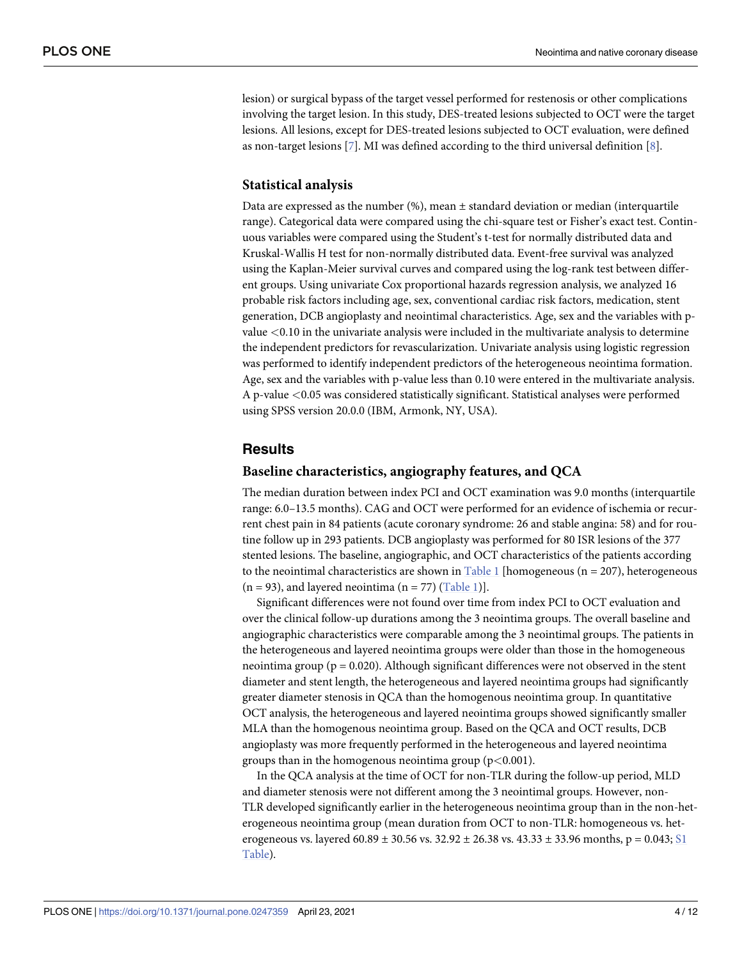<span id="page-3-0"></span>lesion) or surgical bypass of the target vessel performed for restenosis or other complications involving the target lesion. In this study, DES-treated lesions subjected to OCT were the target lesions. All lesions, except for DES-treated lesions subjected to OCT evaluation, were defined as non-target lesions  $[7]$  $[7]$  $[7]$ . MI was defined according to the third universal definition  $[8]$  $[8]$ .

#### **Statistical analysis**

Data are expressed as the number  $(\%)$ , mean  $\pm$  standard deviation or median (interquartile range). Categorical data were compared using the chi-square test or Fisher's exact test. Continuous variables were compared using the Student's t-test for normally distributed data and Kruskal-Wallis H test for non-normally distributed data. Event-free survival was analyzed using the Kaplan-Meier survival curves and compared using the log-rank test between different groups. Using univariate Cox proportional hazards regression analysis, we analyzed 16 probable risk factors including age, sex, conventional cardiac risk factors, medication, stent generation, DCB angioplasty and neointimal characteristics. Age, sex and the variables with pvalue *<*0.10 in the univariate analysis were included in the multivariate analysis to determine the independent predictors for revascularization. Univariate analysis using logistic regression was performed to identify independent predictors of the heterogeneous neointima formation. Age, sex and the variables with p-value less than 0.10 were entered in the multivariate analysis. A p-value *<*0.05 was considered statistically significant. Statistical analyses were performed using SPSS version 20.0.0 (IBM, Armonk, NY, USA).

#### **Results**

#### **Baseline characteristics, angiography features, and QCA**

The median duration between index PCI and OCT examination was 9.0 months (interquartile range: 6.0–13.5 months). CAG and OCT were performed for an evidence of ischemia or recurrent chest pain in 84 patients (acute coronary syndrome: 26 and stable angina: 58) and for routine follow up in 293 patients. DCB angioplasty was performed for 80 ISR lesions of the 377 stented lesions. The baseline, angiographic, and OCT characteristics of the patients according to the neointimal characteristics are shown in [Table](#page-4-0) 1 [homogeneous ( $n = 207$ ), heterogeneous  $(n = 93)$ , and layered neointima  $(n = 77)$  ([Table](#page-4-0) 1).

Significant differences were not found over time from index PCI to OCT evaluation and over the clinical follow-up durations among the 3 neointima groups. The overall baseline and angiographic characteristics were comparable among the 3 neointimal groups. The patients in the heterogeneous and layered neointima groups were older than those in the homogeneous neointima group ( $p = 0.020$ ). Although significant differences were not observed in the stent diameter and stent length, the heterogeneous and layered neointima groups had significantly greater diameter stenosis in QCA than the homogenous neointima group. In quantitative OCT analysis, the heterogeneous and layered neointima groups showed significantly smaller MLA than the homogenous neointima group. Based on the QCA and OCT results, DCB angioplasty was more frequently performed in the heterogeneous and layered neointima groups than in the homogenous neointima group (p*<*0.001).

In the QCA analysis at the time of OCT for non-TLR during the follow-up period, MLD and diameter stenosis were not different among the 3 neointimal groups. However, non-TLR developed significantly earlier in the heterogeneous neointima group than in the non-heterogeneous neointima group (mean duration from OCT to non-TLR: homogeneous vs. heterogeneous vs. layered  $60.89 \pm 30.56$  vs.  $32.92 \pm 26.38$  vs.  $43.33 \pm 33.96$  months,  $p = 0.043$ ; [S1](#page-9-0) [Table](#page-9-0)).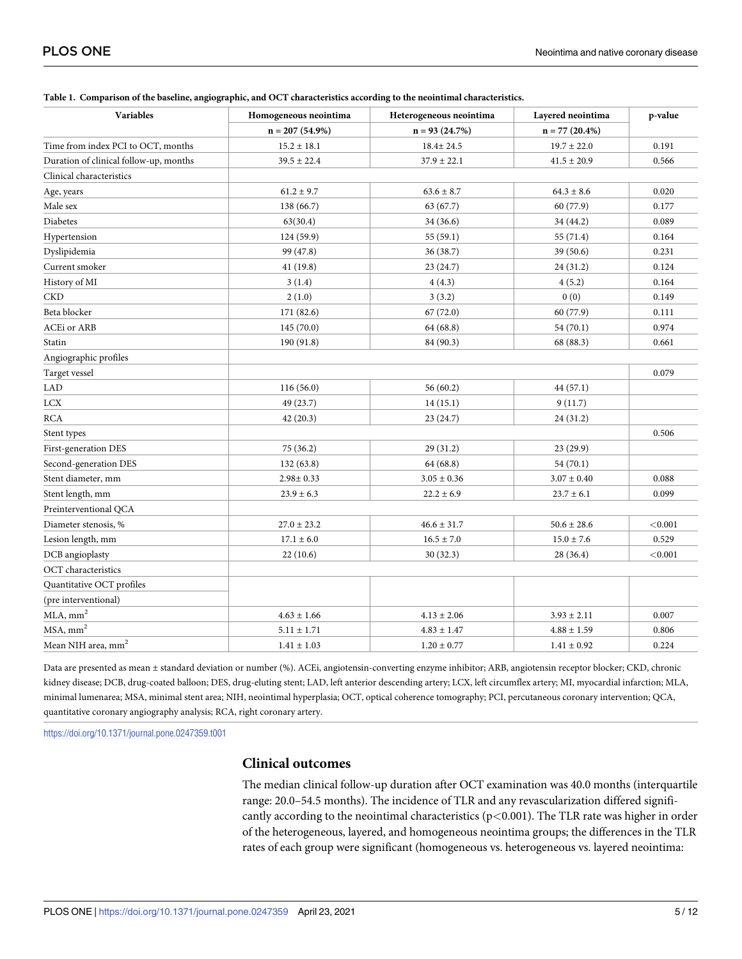| <b>Variables</b>                       | Homogeneous neointima | Heterogeneous neointima | Layered neointima | p-value |
|----------------------------------------|-----------------------|-------------------------|-------------------|---------|
|                                        | $n = 207(54.9\%)$     | $n = 93(24.7%)$         | $n = 77(20.4%)$   |         |
| Time from index PCI to OCT, months     | $15.2 \pm 18.1$       | 18.4± 24.5              | $19.7 \pm 22.0$   | 0.191   |
| Duration of clinical follow-up, months | $39.5 \pm 22.4$       | $37.9 \pm 22.1$         | $41.5 \pm 20.9$   | 0.566   |
| Clinical characteristics               |                       |                         |                   |         |
| Age, years                             | $61.2 \pm 9.7$        | $63.6 \pm 8.7$          | $64.3 \pm 8.6$    | 0.020   |
| Male sex                               | 138 (66.7)            | 63 (67.7)               | 60 (77.9)         | 0.177   |
| Diabetes                               | 63(30.4)              | 34 (36.6)               | 34 (44.2)         | 0.089   |
| Hypertension                           | 124 (59.9)            | 55(59.1)                | 55 (71.4)         | 0.164   |
| Dyslipidemia                           | 99 (47.8)             | 36(38.7)                | 39(50.6)          | 0.231   |
| Current smoker                         | 41(19.8)              | 23(24.7)                | 24 (31.2)         | 0.124   |
| History of MI                          | 3(1.4)                | 4(4.3)                  | 4(5.2)            | 0.164   |
| CKD                                    | 2(1.0)                | 3(3.2)                  | 0(0)              | 0.149   |
| Beta blocker                           | 171 (82.6)            | 67(72.0)                | 60 (77.9)         | 0.111   |
| <b>ACEi</b> or ARB                     | 145(70.0)             | 64 (68.8)               | 54 (70.1)         | 0.974   |
| Statin                                 | 190 (91.8)            | 84 (90.3)               | 68 (88.3)         | 0.661   |
| Angiographic profiles                  |                       |                         |                   |         |
| Target vessel                          |                       |                         |                   | 0.079   |
| <b>LAD</b>                             | 116(56.0)             | 56(60.2)                | 44 (57.1)         |         |
| LCX                                    | 49 (23.7)             | 14(15.1)                | 9(11.7)           |         |
| <b>RCA</b>                             | 42(20.3)              | 23(24.7)                | 24 (31.2)         |         |
| Stent types                            |                       |                         |                   | 0.506   |
| First-generation DES                   | 75 (36.2)             | 29(31.2)                | 23 (29.9)         |         |
| Second-generation DES                  | 132(63.8)             | 64 (68.8)               | 54(70.1)          |         |
| Stent diameter, mm                     | $2.98 \pm 0.33$       | $3.05 \pm 0.36$         | $3.07 \pm 0.40$   | 0.088   |
| Stent length, mm                       | $23.9 \pm 6.3$        | $22.2 \pm 6.9$          | $23.7 \pm 6.1$    | 0.099   |
| Preinterventional QCA                  |                       |                         |                   |         |
| Diameter stenosis, %                   | $27.0 \pm 23.2$       | $46.6 \pm 31.7$         | $50.6 \pm 28.6$   | < 0.001 |
| Lesion length, mm                      | $17.1 \pm 6.0$        | $16.5 \pm 7.0$          | $15.0 \pm 7.6$    | 0.529   |
| DCB angioplasty                        | 22(10.6)              | 30(32.3)                | 28 (36.4)         | < 0.001 |
| OCT characteristics                    |                       |                         |                   |         |
| Quantitative OCT profiles              |                       |                         |                   |         |
| (pre interventional)                   |                       |                         |                   |         |
| $MLA$ , mm <sup>2</sup>                | $4.63 \pm 1.66$       | $4.13 \pm 2.06$         | $3.93 \pm 2.11$   | 0.007   |
| $MSA, \text{mm}^2$                     | $5.11 \pm 1.71$       | $4.83 \pm 1.47$         | $4.88 \pm 1.59$   | 0.806   |
| Mean NIH area, mm <sup>2</sup>         | $1.41 \pm 1.03$       | $1.20 \pm 0.77$         | $1.41\pm0.92$     | 0.224   |

#### <span id="page-4-0"></span>**[Table](#page-3-0) 1. Comparison of the baseline, angiographic, and OCT characteristics according to the neointimal characteristics.**

Data are presented as mean ± standard deviation or number (%). ACEi, angiotensin-converting enzyme inhibitor; ARB, angiotensin receptor blocker; CKD, chronic kidney disease; DCB, drug-coated balloon; DES, drug-eluting stent; LAD, left anterior descending artery; LCX, left circumflex artery; MI, myocardial infarction; MLA, minimal lumenarea; MSA, minimal stent area; NIH, neointimal hyperplasia; OCT, optical coherence tomography; PCI, percutaneous coronary intervention; QCA, quantitative coronary angiography analysis; RCA, right coronary artery.

<https://doi.org/10.1371/journal.pone.0247359.t001>

#### **Clinical outcomes**

The median clinical follow-up duration after OCT examination was 40.0 months (interquartile range: 20.0–54.5 months). The incidence of TLR and any revascularization differed significantly according to the neointimal characteristics (p*<*0.001). The TLR rate was higher in order of the heterogeneous, layered, and homogeneous neointima groups; the differences in the TLR rates of each group were significant (homogeneous vs. heterogeneous vs. layered neointima: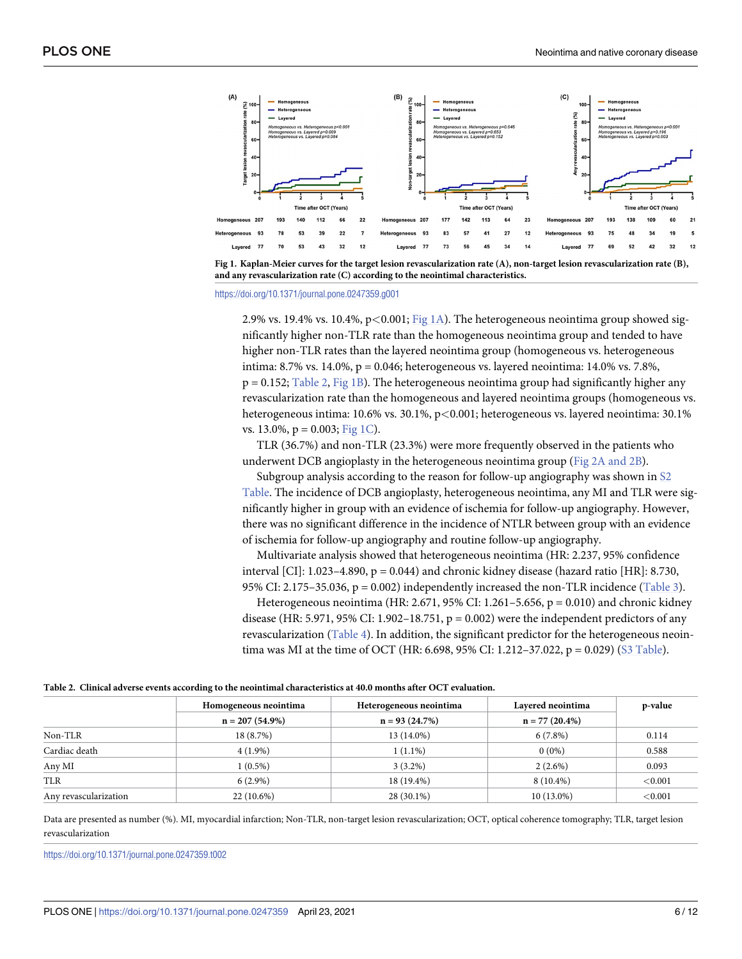<span id="page-5-0"></span>



<https://doi.org/10.1371/journal.pone.0247359.g001>

2.9% vs. 19.4% vs. 10.4%, p*<*0.001; Fig 1A). The heterogeneous neointima group showed significantly higher non-TLR rate than the homogeneous neointima group and tended to have higher non-TLR rates than the layered neointima group (homogeneous vs. heterogeneous intima: 8.7% vs. 14.0%, p = 0.046; heterogeneous vs. layered neointima: 14.0% vs. 7.8%,  $p = 0.152$ ; Table 2, Fig 1B). The heterogeneous neointima group had significantly higher any revascularization rate than the homogeneous and layered neointima groups (homogeneous vs. heterogeneous intima: 10.6% vs. 30.1%, p*<*0.001; heterogeneous vs. layered neointima: 30.1% vs. 13.0%,  $p = 0.003$ ; Fig 1C).

TLR (36.7%) and non-TLR (23.3%) were more frequently observed in the patients who underwent DCB angioplasty in the heterogeneous neointima group (Fig 2A [and](#page-6-0) 2B).

Subgroup analysis according to the reason for follow-up angiography was shown in [S2](#page-9-0) [Table](#page-9-0). The incidence of DCB angioplasty, heterogeneous neointima, any MI and TLR were significantly higher in group with an evidence of ischemia for follow-up angiography. However, there was no significant difference in the incidence of NTLR between group with an evidence of ischemia for follow-up angiography and routine follow-up angiography.

Multivariate analysis showed that heterogeneous neointima (HR: 2.237, 95% confidence interval [CI]:  $1.023-4.890$ ,  $p = 0.044$ ) and chronic kidney disease (hazard ratio [HR]: 8.730, 95% CI: 2.175–35.036,  $p = 0.002$ ) independently increased the non-TLR incidence [\(Table](#page-6-0) 3).

Heterogeneous neointima (HR: 2.671, 95% CI: 1.261–5.656,  $p = 0.010$ ) and chronic kidney disease (HR: 5.971, 95% CI: 1.902–18.751,  $p = 0.002$ ) were the independent predictors of any revascularization [\(Table](#page-7-0) 4). In addition, the significant predictor for the heterogeneous neointima was MI at the time of OCT (HR: 6.698, 95% CI: 1.212–37.022,  $p = 0.029$ ) (S3 [Table\)](#page-9-0).

| Table 2. Clinical adverse events according to the neointimal characteristics at 40.0 months after OCT evaluation. |  |  |  |
|-------------------------------------------------------------------------------------------------------------------|--|--|--|
|-------------------------------------------------------------------------------------------------------------------|--|--|--|

|                       | Homogeneous neointima | Heterogeneous neointima | Layered neointima | p-value |
|-----------------------|-----------------------|-------------------------|-------------------|---------|
|                       | $n = 207(54.9\%)$     | $n = 93(24.7%)$         | $n = 77(20.4\%)$  |         |
| Non-TLR               | 18(8.7%)              | 13 (14.0%)              | $6(7.8\%)$        | 0.114   |
| Cardiac death         | $4(1.9\%)$            | $1(1.1\%)$              | $0(0\%)$          | 0.588   |
| Any MI                | $1(0.5\%)$            | $3(3.2\%)$              | $2(2.6\%)$        | 0.093   |
| TLR                   | $6(2.9\%)$            | 18 (19.4%)              | $8(10.4\%)$       | < 0.001 |
| Any revascularization | $22(10.6\%)$          | 28 (30.1%)              | $10(13.0\%)$      | < 0.001 |

Data are presented as number (%). MI, myocardial infarction; Non-TLR, non-target lesion revascularization; OCT, optical coherence tomography; TLR, target lesion revascularization

<https://doi.org/10.1371/journal.pone.0247359.t002>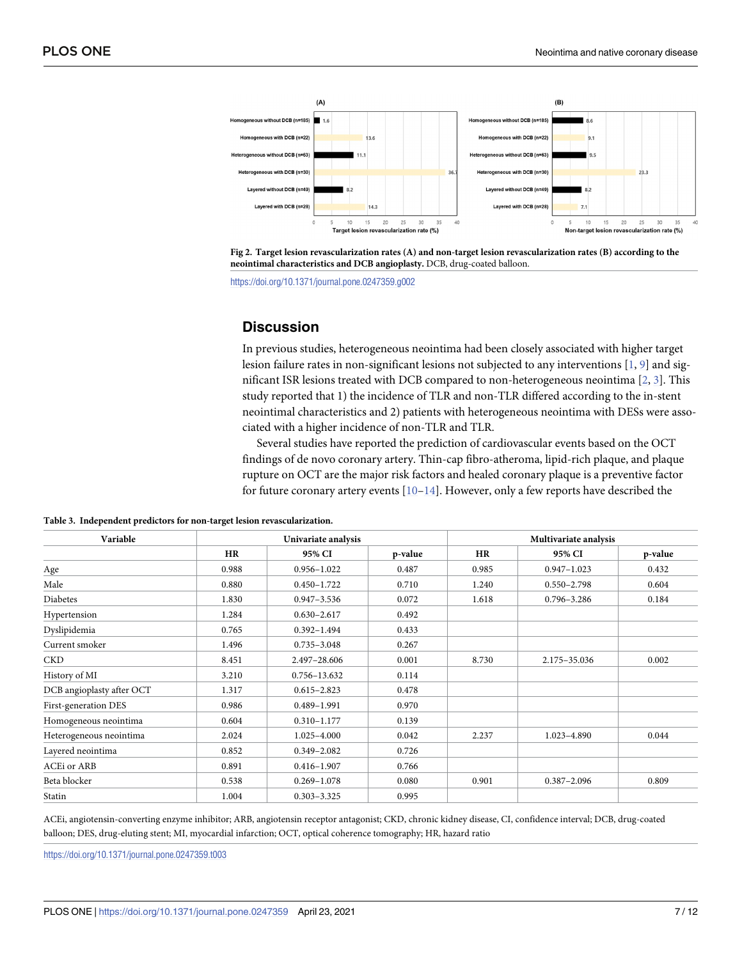<span id="page-6-0"></span>

[Fig](#page-5-0) 2. Target lesion revascularization rates (A) and non-target lesion revascularization rates (B) according to the **neointimal characteristics and DCB angioplasty.** DCB, drug-coated balloon.

<https://doi.org/10.1371/journal.pone.0247359.g002>

# **Discussion**

In previous studies, heterogeneous neointima had been closely associated with higher target lesion failure rates in non-significant lesions not subjected to any interventions [[1,](#page-10-0) [9\]](#page-10-0) and significant ISR lesions treated with DCB compared to non-heterogeneous neointima [\[2,](#page-10-0) [3](#page-10-0)]. This study reported that 1) the incidence of TLR and non-TLR differed according to the in-stent neointimal characteristics and 2) patients with heterogeneous neointima with DESs were associated with a higher incidence of non-TLR and TLR.

Several studies have reported the prediction of cardiovascular events based on the OCT findings of de novo coronary artery. Thin-cap fibro-atheroma, lipid-rich plaque, and plaque rupture on OCT are the major risk factors and healed coronary plaque is a preventive factor for future coronary artery events  $[10-14]$ . However, only a few reports have described the

| Variable                  |       | Univariate analysis |         |           | Multivariate analysis |         |  |
|---------------------------|-------|---------------------|---------|-----------|-----------------------|---------|--|
|                           | HR    | 95% CI              | p-value | <b>HR</b> | 95% CI                | p-value |  |
| Age                       | 0.988 | $0.956 - 1.022$     | 0.487   | 0.985     | $0.947 - 1.023$       | 0.432   |  |
| Male                      | 0.880 | $0.450 - 1.722$     | 0.710   | 1.240     | $0.550 - 2.798$       | 0.604   |  |
| <b>Diabetes</b>           | 1.830 | $0.947 - 3.536$     | 0.072   | 1.618     | $0.796 - 3.286$       | 0.184   |  |
| Hypertension              | 1.284 | $0.630 - 2.617$     | 0.492   |           |                       |         |  |
| Dyslipidemia              | 0.765 | $0.392 - 1.494$     | 0.433   |           |                       |         |  |
| Current smoker            | 1.496 | $0.735 - 3.048$     | 0.267   |           |                       |         |  |
| <b>CKD</b>                | 8.451 | 2.497-28.606        | 0.001   | 8.730     | 2.175-35.036          | 0.002   |  |
| History of MI             | 3.210 | 0.756-13.632        | 0.114   |           |                       |         |  |
| DCB angioplasty after OCT | 1.317 | $0.615 - 2.823$     | 0.478   |           |                       |         |  |
| First-generation DES      | 0.986 | 0.489-1.991         | 0.970   |           |                       |         |  |
| Homogeneous neointima     | 0.604 | $0.310 - 1.177$     | 0.139   |           |                       |         |  |
| Heterogeneous neointima   | 2.024 | 1.025-4.000         | 0.042   | 2.237     | 1.023-4.890           | 0.044   |  |
| Layered neointima         | 0.852 | $0.349 - 2.082$     | 0.726   |           |                       |         |  |
| ACEi or ARB               | 0.891 | $0.416 - 1.907$     | 0.766   |           |                       |         |  |
| Beta blocker              | 0.538 | $0.269 - 1.078$     | 0.080   | 0.901     | $0.387 - 2.096$       | 0.809   |  |
| Statin                    | 1.004 | $0.303 - 3.325$     | 0.995   |           |                       |         |  |

**[Table](#page-5-0) 3. Independent predictors for non-target lesion revascularization.**

ACEi, angiotensin-converting enzyme inhibitor; ARB, angiotensin receptor antagonist; CKD, chronic kidney disease, CI, confidence interval; DCB, drug-coated balloon; DES, drug-eluting stent; MI, myocardial infarction; OCT, optical coherence tomography; HR, hazard ratio

<https://doi.org/10.1371/journal.pone.0247359.t003>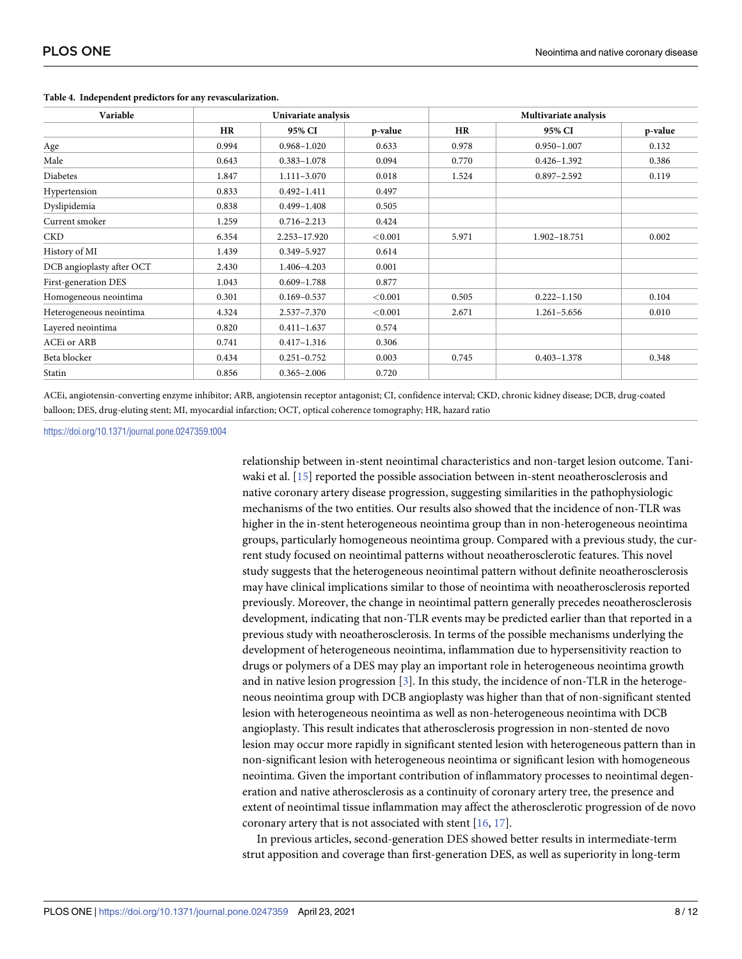| Variable                  |           | Univariate analysis |            |       | Multivariate analysis |         |  |
|---------------------------|-----------|---------------------|------------|-------|-----------------------|---------|--|
|                           | <b>HR</b> | 95% CI              | p-value    | HR    | 95% CI                | p-value |  |
| Age                       | 0.994     | $0.968 - 1.020$     | 0.633      | 0.978 | $0.950 - 1.007$       | 0.132   |  |
| Male                      | 0.643     | $0.383 - 1.078$     | 0.094      | 0.770 | $0.426 - 1.392$       | 0.386   |  |
| Diabetes                  | 1.847     | $1.111 - 3.070$     | 0.018      | 1.524 | $0.897 - 2.592$       | 0.119   |  |
| Hypertension              | 0.833     | $0.492 - 1.411$     | 0.497      |       |                       |         |  |
| Dyslipidemia              | 0.838     | $0.499 - 1.408$     | 0.505      |       |                       |         |  |
| Current smoker            | 1.259     | $0.716 - 2.213$     | 0.424      |       |                       |         |  |
| <b>CKD</b>                | 6.354     | $2.253 - 17.920$    | < 0.001    | 5.971 | 1.902-18.751          | 0.002   |  |
| History of MI             | 1.439     | 0.349-5.927         | 0.614      |       |                       |         |  |
| DCB angioplasty after OCT | 2.430     | 1.406-4.203         | 0.001      |       |                       |         |  |
| First-generation DES      | 1.043     | $0.609 - 1.788$     | 0.877      |       |                       |         |  |
| Homogeneous neointima     | 0.301     | $0.169 - 0.537$     | ${<}0.001$ | 0.505 | $0.222 - 1.150$       | 0.104   |  |
| Heterogeneous neointima   | 4.324     | $2.537 - 7.370$     | < 0.001    | 2.671 | $1.261 - 5.656$       | 0.010   |  |
| Layered neointima         | 0.820     | $0.411 - 1.637$     | 0.574      |       |                       |         |  |
| <b>ACEi</b> or ARB        | 0.741     | $0.417 - 1.316$     | 0.306      |       |                       |         |  |
| Beta blocker              | 0.434     | $0.251 - 0.752$     | 0.003      | 0.745 | $0.403 - 1.378$       | 0.348   |  |
| Statin                    | 0.856     | $0.365 - 2.006$     | 0.720      |       |                       |         |  |

#### <span id="page-7-0"></span>**[Table](#page-5-0) 4. Independent predictors for any revascularization.**

ACEi, angiotensin-converting enzyme inhibitor; ARB, angiotensin receptor antagonist; CI, confidence interval; CKD, chronic kidney disease; DCB, drug-coated balloon; DES, drug-eluting stent; MI, myocardial infarction; OCT, optical coherence tomography; HR, hazard ratio

#### <https://doi.org/10.1371/journal.pone.0247359.t004>

relationship between in-stent neointimal characteristics and non-target lesion outcome. Taniwaki et al. [\[15\]](#page-10-0) reported the possible association between in-stent neoatherosclerosis and native coronary artery disease progression, suggesting similarities in the pathophysiologic mechanisms of the two entities. Our results also showed that the incidence of non-TLR was higher in the in-stent heterogeneous neointima group than in non-heterogeneous neointima groups, particularly homogeneous neointima group. Compared with a previous study, the current study focused on neointimal patterns without neoatherosclerotic features. This novel study suggests that the heterogeneous neointimal pattern without definite neoatherosclerosis may have clinical implications similar to those of neointima with neoatherosclerosis reported previously. Moreover, the change in neointimal pattern generally precedes neoatherosclerosis development, indicating that non-TLR events may be predicted earlier than that reported in a previous study with neoatherosclerosis. In terms of the possible mechanisms underlying the development of heterogeneous neointima, inflammation due to hypersensitivity reaction to drugs or polymers of a DES may play an important role in heterogeneous neointima growth and in native lesion progression [\[3](#page-10-0)]. In this study, the incidence of non-TLR in the heterogeneous neointima group with DCB angioplasty was higher than that of non-significant stented lesion with heterogeneous neointima as well as non-heterogeneous neointima with DCB angioplasty. This result indicates that atherosclerosis progression in non-stented de novo lesion may occur more rapidly in significant stented lesion with heterogeneous pattern than in non-significant lesion with heterogeneous neointima or significant lesion with homogeneous neointima. Given the important contribution of inflammatory processes to neointimal degeneration and native atherosclerosis as a continuity of coronary artery tree, the presence and extent of neointimal tissue inflammation may affect the atherosclerotic progression of de novo coronary artery that is not associated with stent [[16](#page-10-0), [17](#page-10-0)].

In previous articles, second-generation DES showed better results in intermediate-term strut apposition and coverage than first-generation DES, as well as superiority in long-term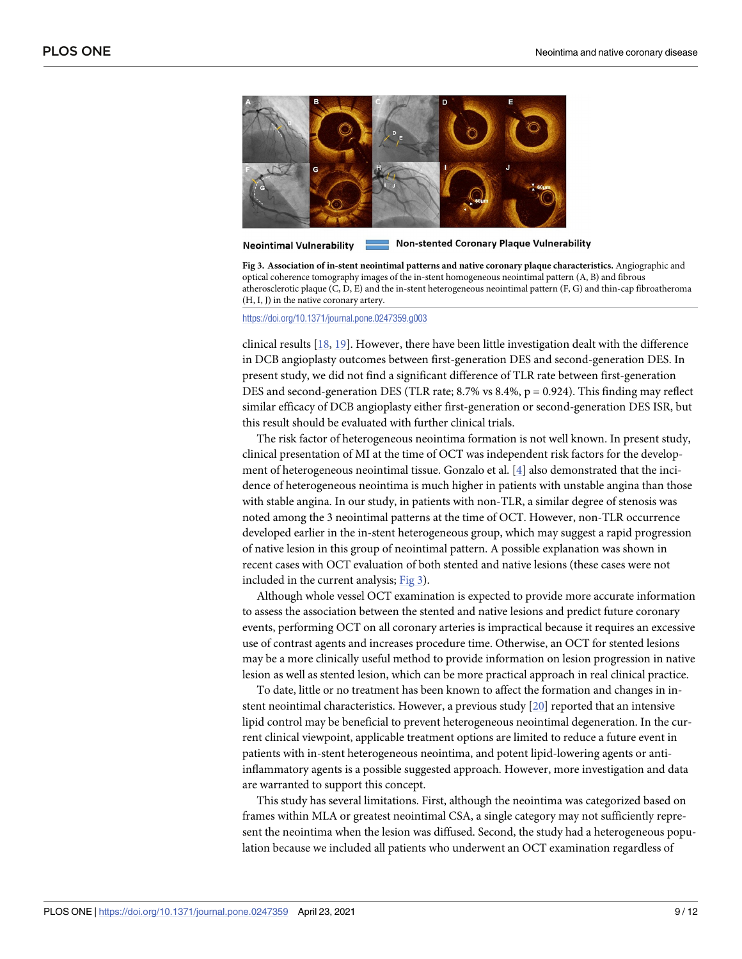<span id="page-8-0"></span>

**Non-stented Coronary Plaque Vulnerability Neointimal Vulnerability** 

**Fig 3. Association of in-stent neointimal patterns and native coronary plaque characteristics.** Angiographic and optical coherence tomography images of the in-stent homogeneous neointimal pattern (A, B) and fibrous atherosclerotic plaque (C, D, E) and the in-stent heterogeneous neointimal pattern (F, G) and thin-cap fibroatheroma (H, I, J) in the native coronary artery.

<https://doi.org/10.1371/journal.pone.0247359.g003>

clinical results [\[18,](#page-11-0) [19\]](#page-11-0). However, there have been little investigation dealt with the difference in DCB angioplasty outcomes between first-generation DES and second-generation DES. In present study, we did not find a significant difference of TLR rate between first-generation DES and second-generation DES (TLR rate; 8.7% vs 8.4%,  $p = 0.924$ ). This finding may reflect similar efficacy of DCB angioplasty either first-generation or second-generation DES ISR, but this result should be evaluated with further clinical trials.

The risk factor of heterogeneous neointima formation is not well known. In present study, clinical presentation of MI at the time of OCT was independent risk factors for the development of heterogeneous neointimal tissue. Gonzalo et al. [\[4\]](#page-10-0) also demonstrated that the incidence of heterogeneous neointima is much higher in patients with unstable angina than those with stable angina. In our study, in patients with non-TLR, a similar degree of stenosis was noted among the 3 neointimal patterns at the time of OCT. However, non-TLR occurrence developed earlier in the in-stent heterogeneous group, which may suggest a rapid progression of native lesion in this group of neointimal pattern. A possible explanation was shown in recent cases with OCT evaluation of both stented and native lesions (these cases were not included in the current analysis; Fig 3).

Although whole vessel OCT examination is expected to provide more accurate information to assess the association between the stented and native lesions and predict future coronary events, performing OCT on all coronary arteries is impractical because it requires an excessive use of contrast agents and increases procedure time. Otherwise, an OCT for stented lesions may be a more clinically useful method to provide information on lesion progression in native lesion as well as stented lesion, which can be more practical approach in real clinical practice.

To date, little or no treatment has been known to affect the formation and changes in instent neointimal characteristics. However, a previous study [[20](#page-11-0)] reported that an intensive lipid control may be beneficial to prevent heterogeneous neointimal degeneration. In the current clinical viewpoint, applicable treatment options are limited to reduce a future event in patients with in-stent heterogeneous neointima, and potent lipid-lowering agents or antiinflammatory agents is a possible suggested approach. However, more investigation and data are warranted to support this concept.

This study has several limitations. First, although the neointima was categorized based on frames within MLA or greatest neointimal CSA, a single category may not sufficiently represent the neointima when the lesion was diffused. Second, the study had a heterogeneous population because we included all patients who underwent an OCT examination regardless of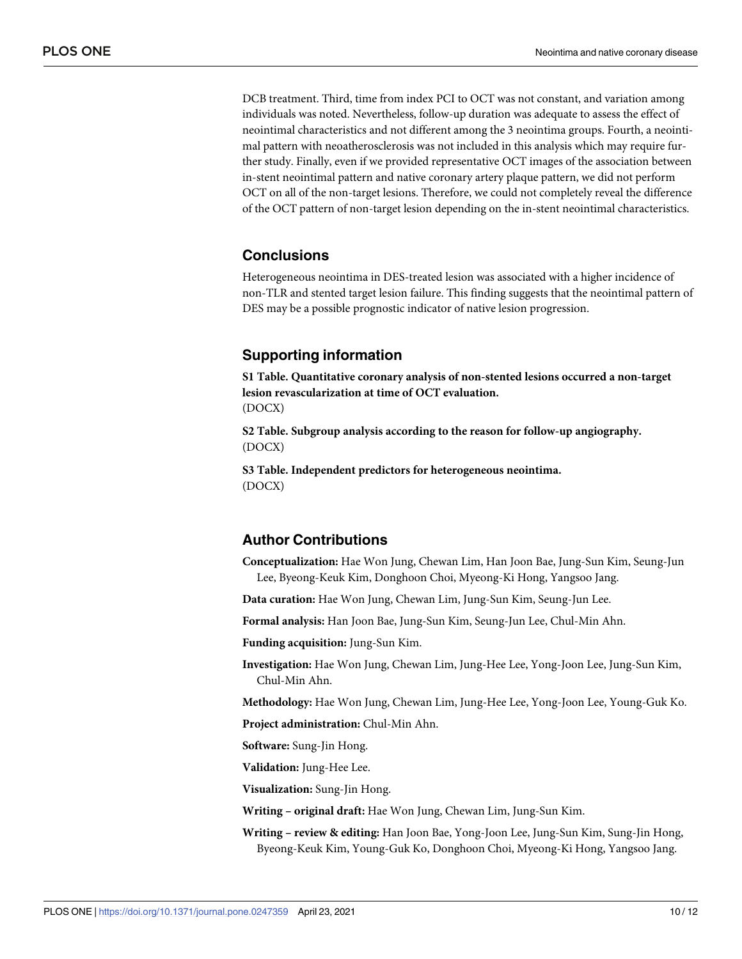<span id="page-9-0"></span>DCB treatment. Third, time from index PCI to OCT was not constant, and variation among individuals was noted. Nevertheless, follow-up duration was adequate to assess the effect of neointimal characteristics and not different among the 3 neointima groups. Fourth, a neointimal pattern with neoatherosclerosis was not included in this analysis which may require further study. Finally, even if we provided representative OCT images of the association between in-stent neointimal pattern and native coronary artery plaque pattern, we did not perform OCT on all of the non-target lesions. Therefore, we could not completely reveal the difference of the OCT pattern of non-target lesion depending on the in-stent neointimal characteristics.

# **Conclusions**

Heterogeneous neointima in DES-treated lesion was associated with a higher incidence of non-TLR and stented target lesion failure. This finding suggests that the neointimal pattern of DES may be a possible prognostic indicator of native lesion progression.

# **Supporting information**

**S1 [Table.](http://www.plosone.org/article/fetchSingleRepresentation.action?uri=info:doi/10.1371/journal.pone.0247359.s001) Quantitative coronary analysis of non-stented lesions occurred a non-target lesion revascularization at time of OCT evaluation.** (DOCX)

**S2 [Table.](http://www.plosone.org/article/fetchSingleRepresentation.action?uri=info:doi/10.1371/journal.pone.0247359.s002) Subgroup analysis according to the reason for follow-up angiography.** (DOCX)

**S3 [Table.](http://www.plosone.org/article/fetchSingleRepresentation.action?uri=info:doi/10.1371/journal.pone.0247359.s003) Independent predictors for heterogeneous neointima.** (DOCX)

# **Author Contributions**

**Conceptualization:** Hae Won Jung, Chewan Lim, Han Joon Bae, Jung-Sun Kim, Seung-Jun Lee, Byeong-Keuk Kim, Donghoon Choi, Myeong-Ki Hong, Yangsoo Jang.

**Data curation:** Hae Won Jung, Chewan Lim, Jung-Sun Kim, Seung-Jun Lee.

**Formal analysis:** Han Joon Bae, Jung-Sun Kim, Seung-Jun Lee, Chul-Min Ahn.

**Funding acquisition:** Jung-Sun Kim.

**Investigation:** Hae Won Jung, Chewan Lim, Jung-Hee Lee, Yong-Joon Lee, Jung-Sun Kim, Chul-Min Ahn.

**Methodology:** Hae Won Jung, Chewan Lim, Jung-Hee Lee, Yong-Joon Lee, Young-Guk Ko.

**Project administration:** Chul-Min Ahn.

**Software:** Sung-Jin Hong.

**Validation:** Jung-Hee Lee.

**Visualization:** Sung-Jin Hong.

**Writing – original draft:** Hae Won Jung, Chewan Lim, Jung-Sun Kim.

**Writing – review & editing:** Han Joon Bae, Yong-Joon Lee, Jung-Sun Kim, Sung-Jin Hong, Byeong-Keuk Kim, Young-Guk Ko, Donghoon Choi, Myeong-Ki Hong, Yangsoo Jang.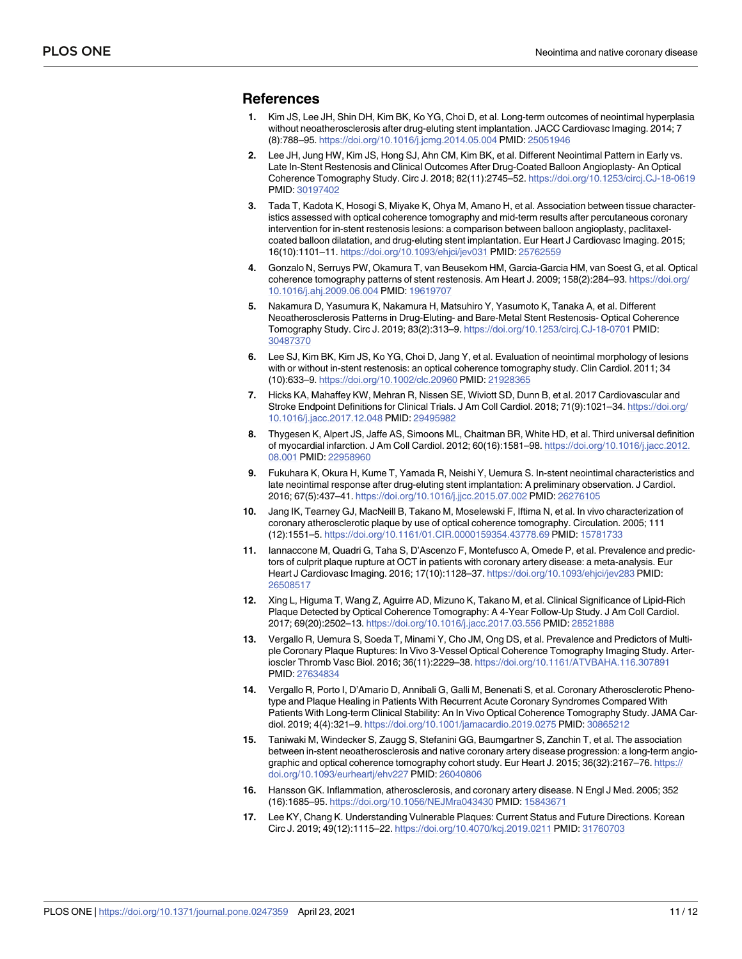#### <span id="page-10-0"></span>**References**

- **[1](#page-1-0).** Kim JS, Lee JH, Shin DH, Kim BK, Ko YG, Choi D, et al. Long-term outcomes of neointimal hyperplasia without neoatherosclerosis after drug-eluting stent implantation. JACC Cardiovasc Imaging. 2014; 7 (8):788–95. <https://doi.org/10.1016/j.jcmg.2014.05.004> PMID: [25051946](http://www.ncbi.nlm.nih.gov/pubmed/25051946)
- **[2](#page-1-0).** Lee JH, Jung HW, Kim JS, Hong SJ, Ahn CM, Kim BK, et al. Different Neointimal Pattern in Early vs. Late In-Stent Restenosis and Clinical Outcomes After Drug-Coated Balloon Angioplasty- An Optical Coherence Tomography Study. Circ J. 2018; 82(11):2745–52. <https://doi.org/10.1253/circj.CJ-18-0619> PMID: [30197402](http://www.ncbi.nlm.nih.gov/pubmed/30197402)
- **[3](#page-1-0).** Tada T, Kadota K, Hosogi S, Miyake K, Ohya M, Amano H, et al. Association between tissue characteristics assessed with optical coherence tomography and mid-term results after percutaneous coronary intervention for in-stent restenosis lesions: a comparison between balloon angioplasty, paclitaxelcoated balloon dilatation, and drug-eluting stent implantation. Eur Heart J Cardiovasc Imaging. 2015; 16(10):1101–11. <https://doi.org/10.1093/ehjci/jev031> PMID: [25762559](http://www.ncbi.nlm.nih.gov/pubmed/25762559)
- **[4](#page-2-0).** Gonzalo N, Serruys PW, Okamura T, van Beusekom HM, Garcia-Garcia HM, van Soest G, et al. Optical coherence tomography patterns of stent restenosis. Am Heart J. 2009; 158(2):284–93. [https://doi.org/](https://doi.org/10.1016/j.ahj.2009.06.004) [10.1016/j.ahj.2009.06.004](https://doi.org/10.1016/j.ahj.2009.06.004) PMID: [19619707](http://www.ncbi.nlm.nih.gov/pubmed/19619707)
- **[5](#page-2-0).** Nakamura D, Yasumura K, Nakamura H, Matsuhiro Y, Yasumoto K, Tanaka A, et al. Different Neoatherosclerosis Patterns in Drug-Eluting- and Bare-Metal Stent Restenosis- Optical Coherence Tomography Study. Circ J. 2019; 83(2):313–9. <https://doi.org/10.1253/circj.CJ-18-0701> PMID: [30487370](http://www.ncbi.nlm.nih.gov/pubmed/30487370)
- **[6](#page-2-0).** Lee SJ, Kim BK, Kim JS, Ko YG, Choi D, Jang Y, et al. Evaluation of neointimal morphology of lesions with or without in-stent restenosis: an optical coherence tomography study. Clin Cardiol. 2011; 34 (10):633–9. <https://doi.org/10.1002/clc.20960> PMID: [21928365](http://www.ncbi.nlm.nih.gov/pubmed/21928365)
- **[7](#page-3-0).** Hicks KA, Mahaffey KW, Mehran R, Nissen SE, Wiviott SD, Dunn B, et al. 2017 Cardiovascular and Stroke Endpoint Definitions for Clinical Trials. J Am Coll Cardiol. 2018; 71(9):1021-34. [https://doi.org/](https://doi.org/10.1016/j.jacc.2017.12.048) [10.1016/j.jacc.2017.12.048](https://doi.org/10.1016/j.jacc.2017.12.048) PMID: [29495982](http://www.ncbi.nlm.nih.gov/pubmed/29495982)
- **[8](#page-3-0).** Thygesen K, Alpert JS, Jaffe AS, Simoons ML, Chaitman BR, White HD, et al. Third universal definition of myocardial infarction. J Am Coll Cardiol. 2012; 60(16):1581–98. [https://doi.org/10.1016/j.jacc.2012.](https://doi.org/10.1016/j.jacc.2012.08.001) [08.001](https://doi.org/10.1016/j.jacc.2012.08.001) PMID: [22958960](http://www.ncbi.nlm.nih.gov/pubmed/22958960)
- **[9](#page-6-0).** Fukuhara K, Okura H, Kume T, Yamada R, Neishi Y, Uemura S. In-stent neointimal characteristics and late neointimal response after drug-eluting stent implantation: A preliminary observation. J Cardiol. 2016; 67(5):437–41. <https://doi.org/10.1016/j.jjcc.2015.07.002> PMID: [26276105](http://www.ncbi.nlm.nih.gov/pubmed/26276105)
- **[10](#page-6-0).** Jang IK, Tearney GJ, MacNeill B, Takano M, Moselewski F, Iftima N, et al. In vivo characterization of coronary atherosclerotic plaque by use of optical coherence tomography. Circulation. 2005; 111 (12):1551–5. <https://doi.org/10.1161/01.CIR.0000159354.43778.69> PMID: [15781733](http://www.ncbi.nlm.nih.gov/pubmed/15781733)
- **11.** Iannaccone M, Quadri G, Taha S, D'Ascenzo F, Montefusco A, Omede P, et al. Prevalence and predictors of culprit plaque rupture at OCT in patients with coronary artery disease: a meta-analysis. Eur Heart J Cardiovasc Imaging. 2016; 17(10):1128–37. <https://doi.org/10.1093/ehjci/jev283> PMID: [26508517](http://www.ncbi.nlm.nih.gov/pubmed/26508517)
- **12.** Xing L, Higuma T, Wang Z, Aguirre AD, Mizuno K, Takano M, et al. Clinical Significance of Lipid-Rich Plaque Detected by Optical Coherence Tomography: A 4-Year Follow-Up Study. J Am Coll Cardiol. 2017; 69(20):2502–13. <https://doi.org/10.1016/j.jacc.2017.03.556> PMID: [28521888](http://www.ncbi.nlm.nih.gov/pubmed/28521888)
- **13.** Vergallo R, Uemura S, Soeda T, Minami Y, Cho JM, Ong DS, et al. Prevalence and Predictors of Multiple Coronary Plaque Ruptures: In Vivo 3-Vessel Optical Coherence Tomography Imaging Study. Arterioscler Thromb Vasc Biol. 2016; 36(11):2229–38. <https://doi.org/10.1161/ATVBAHA.116.307891> PMID: [27634834](http://www.ncbi.nlm.nih.gov/pubmed/27634834)
- **[14](#page-6-0).** Vergallo R, Porto I, D'Amario D, Annibali G, Galli M, Benenati S, et al. Coronary Atherosclerotic Phenotype and Plaque Healing in Patients With Recurrent Acute Coronary Syndromes Compared With Patients With Long-term Clinical Stability: An In Vivo Optical Coherence Tomography Study. JAMA Cardiol. 2019; 4(4):321–9. <https://doi.org/10.1001/jamacardio.2019.0275> PMID: [30865212](http://www.ncbi.nlm.nih.gov/pubmed/30865212)
- **[15](#page-7-0).** Taniwaki M, Windecker S, Zaugg S, Stefanini GG, Baumgartner S, Zanchin T, et al. The association between in-stent neoatherosclerosis and native coronary artery disease progression: a long-term angiographic and optical coherence tomography cohort study. Eur Heart J. 2015; 36(32):2167–76. [https://](https://doi.org/10.1093/eurheartj/ehv227) [doi.org/10.1093/eurheartj/ehv227](https://doi.org/10.1093/eurheartj/ehv227) PMID: [26040806](http://www.ncbi.nlm.nih.gov/pubmed/26040806)
- **[16](#page-7-0).** Hansson GK. Inflammation, atherosclerosis, and coronary artery disease. N Engl J Med. 2005; 352 (16):1685–95. <https://doi.org/10.1056/NEJMra043430> PMID: [15843671](http://www.ncbi.nlm.nih.gov/pubmed/15843671)
- **[17](#page-7-0).** Lee KY, Chang K. Understanding Vulnerable Plaques: Current Status and Future Directions. Korean Circ J. 2019; 49(12):1115–22. <https://doi.org/10.4070/kcj.2019.0211> PMID: [31760703](http://www.ncbi.nlm.nih.gov/pubmed/31760703)